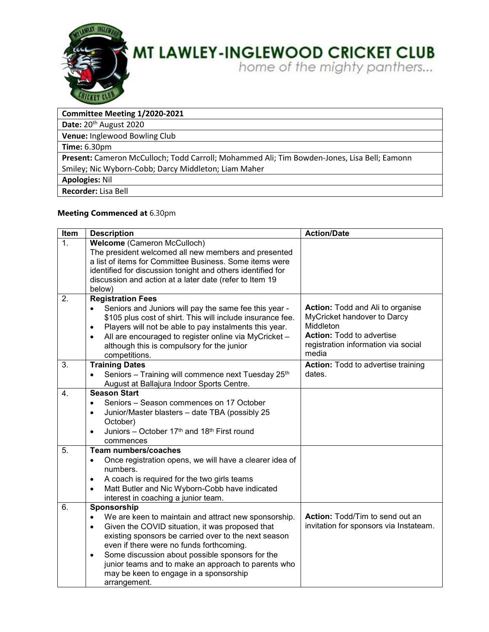

### **MT LAWLEY-INGLEWOOD CRICKET CLUB**

home of the mighty panthers...

#### **Committee Meeting 1/2020-2021**

Date: 20<sup>th</sup> August 2020

**Venue:** Inglewood Bowling Club

**Time:** 6.30pm

**Present:** Cameron McCulloch; Todd Carroll; Mohammed Ali; Tim Bowden-Jones, Lisa Bell; Eamonn Smiley; Nic Wyborn-Cobb; Darcy Middleton; Liam Maher

**Apologies:** Nil

**Recorder:** Lisa Bell

#### **Meeting Commenced at** 6.30pm

| Item             | <b>Description</b>                                                                                                  | <b>Action/Date</b>                        |
|------------------|---------------------------------------------------------------------------------------------------------------------|-------------------------------------------|
| $\mathbf{1}$ .   | Welcome (Cameron McCulloch)<br>The president welcomed all new members and presented                                 |                                           |
|                  | a list of items for Committee Business. Some items were                                                             |                                           |
|                  | identified for discussion tonight and others identified for                                                         |                                           |
|                  | discussion and action at a later date (refer to Item 19                                                             |                                           |
|                  | below)                                                                                                              |                                           |
| 2.               | <b>Registration Fees</b>                                                                                            | Action: Todd and Ali to organise          |
|                  | Seniors and Juniors will pay the same fee this year -<br>\$105 plus cost of shirt. This will include insurance fee. | MyCricket handover to Darcy               |
|                  | Players will not be able to pay instalments this year.                                                              | Middleton                                 |
|                  | All are encouraged to register online via MyCricket -                                                               | <b>Action: Todd to advertise</b>          |
|                  | although this is compulsory for the junior                                                                          | registration information via social       |
|                  | competitions.                                                                                                       | media                                     |
| 3.               | <b>Training Dates</b>                                                                                               | <b>Action:</b> Todd to advertise training |
|                  | Seniors - Training will commence next Tuesday 25th                                                                  | dates.                                    |
|                  | August at Ballajura Indoor Sports Centre.<br><b>Season Start</b>                                                    |                                           |
| 4.               |                                                                                                                     |                                           |
|                  | Seniors - Season commences on 17 October                                                                            |                                           |
|                  | Junior/Master blasters - date TBA (possibly 25<br>$\bullet$<br>October)                                             |                                           |
|                  | Juniors - October 17th and 18th First round<br>$\bullet$                                                            |                                           |
|                  | commences                                                                                                           |                                           |
| $\overline{5}$ . | <b>Team numbers/coaches</b>                                                                                         |                                           |
|                  | Once registration opens, we will have a clearer idea of<br>$\bullet$                                                |                                           |
|                  | numbers.                                                                                                            |                                           |
|                  | A coach is required for the two girls teams<br>$\bullet$                                                            |                                           |
|                  | Matt Butler and Nic Wyborn-Cobb have indicated<br>$\bullet$                                                         |                                           |
|                  | interest in coaching a junior team.                                                                                 |                                           |
| 6.               | Sponsorship<br>We are keen to maintain and attract new sponsorship.<br>$\bullet$                                    | Action: Todd/Tim to send out an           |
|                  | Given the COVID situation, it was proposed that<br>$\bullet$                                                        | invitation for sponsors via Instateam.    |
|                  | existing sponsors be carried over to the next season                                                                |                                           |
|                  | even if there were no funds forthcoming.                                                                            |                                           |
|                  | Some discussion about possible sponsors for the<br>$\bullet$                                                        |                                           |
|                  | junior teams and to make an approach to parents who                                                                 |                                           |
|                  | may be keen to engage in a sponsorship                                                                              |                                           |
|                  | arrangement.                                                                                                        |                                           |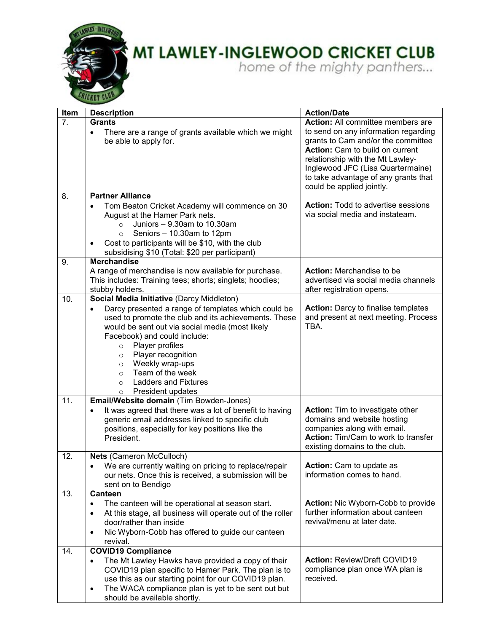

# **MT LAWLEY-INGLEWOOD CRICKET CLUB**<br>home of the mighty panthers...

| Item             | <b>Description</b>                                                                                                                                                                                                                                                                                                                                                                                                | <b>Action/Date</b>                                                                                                                                                                                                                                          |
|------------------|-------------------------------------------------------------------------------------------------------------------------------------------------------------------------------------------------------------------------------------------------------------------------------------------------------------------------------------------------------------------------------------------------------------------|-------------------------------------------------------------------------------------------------------------------------------------------------------------------------------------------------------------------------------------------------------------|
| $\overline{7}$ . | <b>Grants</b>                                                                                                                                                                                                                                                                                                                                                                                                     | <b>Action:</b> All committee members are                                                                                                                                                                                                                    |
|                  | There are a range of grants available which we might<br>$\bullet$<br>be able to apply for.                                                                                                                                                                                                                                                                                                                        | to send on any information regarding<br>grants to Cam and/or the committee<br>Action: Cam to build on current<br>relationship with the Mt Lawley-<br>Inglewood JFC (Lisa Quartermaine)<br>to take advantage of any grants that<br>could be applied jointly. |
| 8.               | <b>Partner Alliance</b>                                                                                                                                                                                                                                                                                                                                                                                           |                                                                                                                                                                                                                                                             |
|                  | Tom Beaton Cricket Academy will commence on 30<br>August at the Hamer Park nets.<br>Juniors - 9.30am to 10.30am<br>$\circ$<br>Seniors - 10.30am to 12pm<br>$\circ$<br>Cost to participants will be \$10, with the club<br>subsidising \$10 (Total: \$20 per participant)                                                                                                                                          | <b>Action:</b> Todd to advertise sessions<br>via social media and instateam.                                                                                                                                                                                |
| 9.               | <b>Merchandise</b>                                                                                                                                                                                                                                                                                                                                                                                                |                                                                                                                                                                                                                                                             |
|                  | A range of merchandise is now available for purchase.<br>This includes: Training tees; shorts; singlets; hoodies;<br>stubby holders.                                                                                                                                                                                                                                                                              | Action: Merchandise to be<br>advertised via social media channels<br>after registration opens.                                                                                                                                                              |
| 10.              | Social Media Initiative (Darcy Middleton)                                                                                                                                                                                                                                                                                                                                                                         |                                                                                                                                                                                                                                                             |
|                  | Darcy presented a range of templates which could be<br>$\bullet$<br>used to promote the club and its achievements. These<br>would be sent out via social media (most likely<br>Facebook) and could include:<br>Player profiles<br>$\circ$<br>Player recognition<br>$\circ$<br>Weekly wrap-ups<br>$\circ$<br>Team of the week<br>$\circ$<br><b>Ladders and Fixtures</b><br>$\circ$<br>President updates<br>$\circ$ | <b>Action:</b> Darcy to finalise templates<br>and present at next meeting. Process<br>TBA.                                                                                                                                                                  |
| 11.              | Email/Website domain (Tim Bowden-Jones)                                                                                                                                                                                                                                                                                                                                                                           |                                                                                                                                                                                                                                                             |
|                  | It was agreed that there was a lot of benefit to having<br>generic email addresses linked to specific club<br>positions, especially for key positions like the<br>President.                                                                                                                                                                                                                                      | <b>Action:</b> Tim to investigate other<br>domains and website hosting<br>companies along with email.<br>Action: Tim/Cam to work to transfer<br>existing domains to the club.                                                                               |
| 12.              | Nets (Cameron McCulloch)                                                                                                                                                                                                                                                                                                                                                                                          |                                                                                                                                                                                                                                                             |
|                  | We are currently waiting on pricing to replace/repair<br>our nets. Once this is received, a submission will be<br>sent on to Bendigo                                                                                                                                                                                                                                                                              | <b>Action:</b> Cam to update as<br>information comes to hand.                                                                                                                                                                                               |
| 13.              | Canteen                                                                                                                                                                                                                                                                                                                                                                                                           |                                                                                                                                                                                                                                                             |
|                  | The canteen will be operational at season start.<br>$\bullet$<br>At this stage, all business will operate out of the roller<br>$\bullet$<br>door/rather than inside<br>Nic Wyborn-Cobb has offered to guide our canteen<br>$\bullet$<br>revival.                                                                                                                                                                  | Action: Nic Wyborn-Cobb to provide<br>further information about canteen<br>revival/menu at later date.                                                                                                                                                      |
| 14.              | <b>COVID19 Compliance</b>                                                                                                                                                                                                                                                                                                                                                                                         |                                                                                                                                                                                                                                                             |
|                  | The Mt Lawley Hawks have provided a copy of their<br>$\bullet$<br>COVID19 plan specific to Hamer Park. The plan is to<br>use this as our starting point for our COVID19 plan.<br>The WACA compliance plan is yet to be sent out but<br>٠<br>should be available shortly                                                                                                                                           | <b>Action: Review/Draft COVID19</b><br>compliance plan once WA plan is<br>received.                                                                                                                                                                         |